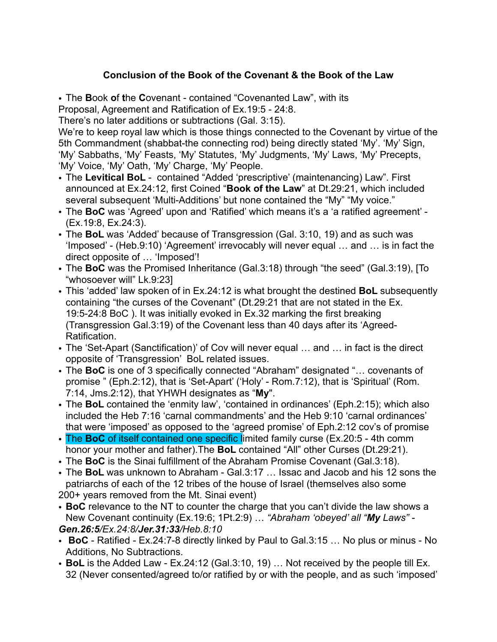## **Conclusion of the Book of the Covenant & the Book of the Law**

• The **B**ook **o**f **t**he **C**ovenant - contained "Covenanted Law", with its Proposal, Agreement and Ratification of Ex.19:5 - 24:8.

There's no later additions or subtractions (Gal. 3:15).

We're to keep royal law which is those things connected to the Covenant by virtue of the 5th Commandment (shabbat-the connecting rod) being directly stated 'My'. 'My' Sign, 'My' Sabbaths, 'My' Feasts, 'My' Statutes, 'My' Judgments, 'My' Laws, 'My' Precepts, 'My' Voice, 'My' Oath, 'My' Charge, 'My' People.

- The **Levitical BoL**  contained "Added 'prescriptive' (maintenancing) Law". First announced at Ex.24:12, first Coined "**Book of the Law**" at Dt.29:21, which included several subsequent 'Multi-Additions' but none contained the "My" "My voice."
- The **BoC** was 'Agreed' upon and 'Ratified' which means it's a 'a ratified agreement' (Ex.19:8, Ex.24:3).
- The **BoL** was 'Added' because of Transgression (Gal. 3:10, 19) and as such was 'Imposed' - (Heb.9:10) 'Agreement' irrevocably will never equal … and … is in fact the direct opposite of … 'Imposed'!
- The **BoC** was the Promised Inheritance (Gal.3:18) through "the seed" (Gal.3:19), [To "whosoever will" Lk.9:23]
- This 'added' law spoken of in Ex.24:12 is what brought the destined **BoL** subsequently containing "the curses of the Covenant" (Dt.29:21 that are not stated in the Ex. 19:5-24:8 BoC ). It was initially evoked in Ex.32 marking the first breaking (Transgression Gal.3:19) of the Covenant less than 40 days after its 'Agreed-Ratification.
- The 'Set-Apart (Sanctification)' of Cov will never equal … and … in fact is the direct opposite of 'Transgression' BoL related issues.
- The **BoC** is one of 3 specifically connected "Abraham" designated "… covenants of promise " (Eph.2:12), that is 'Set-Apart' ('Holy' - Rom.7:12), that is 'Spiritual' (Rom. 7:14, Jms.2:12), that YHWH designates as "**My**".
- The **BoL** contained the 'enmity law', 'contained in ordinances' (Eph.2:15); which also included the Heb 7:16 'carnal commandments' and the Heb 9:10 'carnal ordinances' that were 'imposed' as opposed to the 'agreed promise' of Eph.2:12 cov's of promise
- The **BoC** of itself contained one specific limited family curse (Ex.20:5 4th comm honor your mother and father).The **BoL** contained "All" other Curses (Dt.29:21).
- The **BoC** is the Sinai fulfillment of the Abraham Promise Covenant (Gal.3:18).
- The **BoL** was unknown to Abraham Gal.3:17 … Issac and Jacob and his 12 sons the patriarchs of each of the 12 tribes of the house of Israel (themselves also some 200+ years removed from the Mt. Sinai event)
- **BoC** relevance to the NT to counter the charge that you can't divide the law shows a New Covenant continuity (Ex.19:6; 1Pt.2:9) … *"Abraham 'obeyed' all "My Laws" - Gen.26:5/Ex.24:8/Jer.31:33/Heb.8:10*
- **BoC**  Ratified Ex.24:7-8 directly linked by Paul to Gal.3:15 … No plus or minus No Additions, No Subtractions.
- **BoL** is the Added Law Ex.24:12 (Gal.3:10, 19) … Not received by the people till Ex. 32 (Never consented/agreed to/or ratified by or with the people, and as such 'imposed'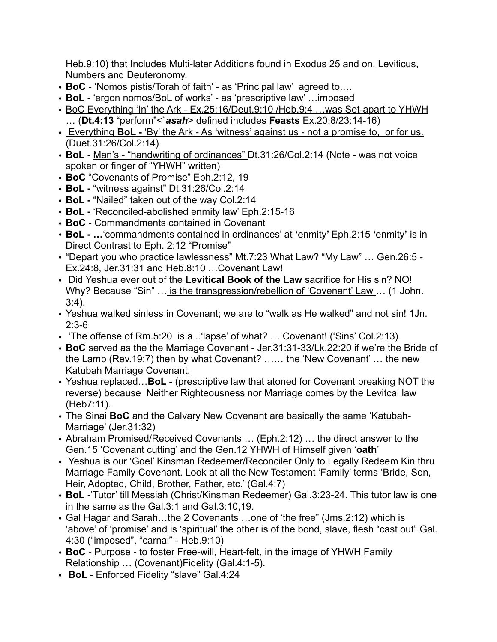Heb.9:10) that Includes Multi-later Additions found in Exodus 25 and on, Leviticus, Numbers and Deuteronomy.

- **BoC**  'Nomos pistis/Torah of faith' as 'Principal law' agreed to.…
- **BoL** 'ergon nomos/BoL of works' as 'prescriptive law' …imposed
- BoC Everything 'In' the Ark Ex.25:16/Deut.9:10 /Heb.9:4 ... was Set-apart to YHWH … (**Dt.4:13** "perform"<`*asah*> defined includes **Feasts** Ex.20:8/23:14-16)
- Everything **BoL** 'By' the Ark As 'witness' against us not a promise to, or for us. (Duet.31:26/Col.2:14)
- **BoL** Man's "handwriting of ordinances" Dt.31:26/Col.2:14 (Note was not voice spoken or finger of "YHWH" written)
- **BoC** "Covenants of Promise" Eph.2:12, 19
- **BoL** "witness against" Dt.31:26/Col.2:14
- **BoL** "Nailed" taken out of the way Col.2:14
- **BoL** 'Reconciled-abolished enmity law' Eph.2:15-16
- **BoC**  Commandments contained in Covenant
- **BoL …**'commandments contained in ordinances' at **'**enmity**'** Eph.2:15 **'**enmity**'** is in Direct Contrast to Eph. 2:12 "Promise"
- "Depart you who practice lawlessness" Mt.7:23 What Law? "My Law" … Gen.26:5 Ex.24:8, Jer.31:31 and Heb.8:10 …Covenant Law!
- Did Yeshua ever out of the **Levitical Book of the Law** sacrifice for His sin? NO! Why? Because "Sin" ... is the transgression/rebellion of 'Covenant' Law ... (1 John. 3:4).
- Yeshua walked sinless in Covenant; we are to "walk as He walked" and not sin! 1Jn. 2:3-6
- 'The offense of Rm.5:20 is a ..'lapse' of what? … Covenant! ('Sins' Col.2:13)
- **BoC** served as the the Marriage Covenant Jer.31:31-33/Lk.22:20 if we're the Bride of the Lamb (Rev.19:7) then by what Covenant? …… the 'New Covenant' … the new Katubah Marriage Covenant.
- Yeshua replaced…**BoL**  (prescriptive law that atoned for Covenant breaking NOT the reverse) because Neither Righteousness nor Marriage comes by the Levitcal law (Heb7:11).
- The Sinai **BoC** and the Calvary New Covenant are basically the same 'Katubah-Marriage' (Jer.31:32)
- Abraham Promised/Received Covenants … (Eph.2:12) … the direct answer to the Gen.15 'Covenant cutting' and the Gen.12 YHWH of Himself given '**oath**'
- Yeshua is our 'Goel' Kinsman Redeemer/Reconciler Only to Legally Redeem Kin thru Marriage Family Covenant. Look at all the New Testament 'Family' terms 'Bride, Son, Heir, Adopted, Child, Brother, Father, etc.' (Gal.4:7)
- **BoL -**'Tutor' till Messiah (Christ/Kinsman Redeemer) Gal.3:23-24. This tutor law is one in the same as the Gal.3:1 and Gal.3:10,19.
- Gal Hagar and Sarah…the 2 Covenants …one of 'the free" (Jms.2:12) which is 'above' of 'promise' and is 'spiritual' the other is of the bond, slave, flesh "cast out" Gal. 4:30 ("imposed", "carnal" - Heb.9:10)
- **BoC**  Purpose to foster Free-will, Heart-felt, in the image of YHWH Family Relationship … (Covenant)Fidelity (Gal.4:1-5).
- **BoL**  Enforced Fidelity "slave" Gal.4:24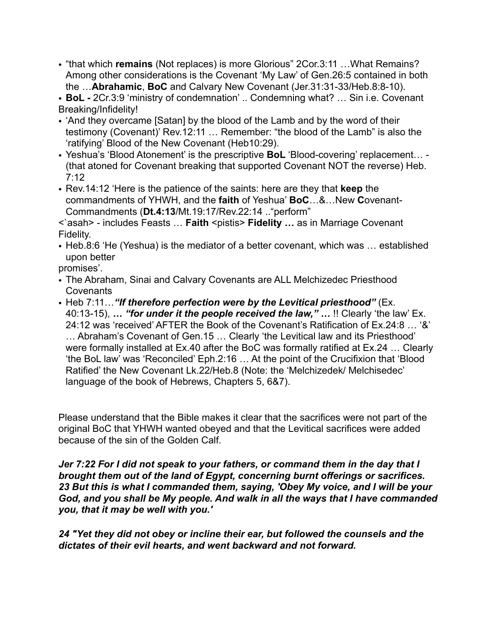• "that which **remains** (Not replaces) is more Glorious" 2Cor.3:11 …What Remains? Among other considerations is the Covenant 'My Law' of Gen.26:5 contained in both the …**Abrahamic**, **BoC** and Calvary New Covenant (Jer.31:31-33/Heb.8:8-10).

• **BoL -** 2Cr.3:9 'ministry of condemnation' .. Condemning what? … Sin i.e. Covenant Breaking/Infidelity!

- 'And they overcame [Satan] by the blood of the Lamb and by the word of their testimony (Covenant)' Rev.12:11 … Remember: "the blood of the Lamb" is also the 'ratifying' Blood of the New Covenant (Heb10:29).
- Yeshua's 'Blood Atonement' is the prescriptive **BoL** 'Blood-covering' replacement… (that atoned for Covenant breaking that supported Covenant NOT the reverse) Heb. 7:12
- Rev.14:12 'Here is the patience of the saints: here are they that **keep** the commandments of YHWH, and the **faith** of Yeshua' **BoC**…&…New **C**ovenant-Commandments (**Dt.4:13**/Mt.19:17/Rev.22:14 .."perform"

<`asah> - includes Feasts … **Faith** <pistis> **Fidelity …** as in Marriage Covenant Fidelity.

• Heb.8:6 'He (Yeshua) is the mediator of a better covenant, which was … established upon better

promises'.

- The Abraham, Sinai and Calvary Covenants are ALL Melchizedec Priesthood **Covenants**
- Heb 7:11…*"If therefore perfection were by the Levitical priesthood"* (Ex. 40:13-15), *… "for under it the people received the law," …* !! Clearly 'the law' Ex. 24:12 was 'received' AFTER the Book of the Covenant's Ratification of Ex.24:8 … '&' … Abraham's Covenant of Gen.15 … Clearly 'the Levitical law and its Priesthood' were formally installed at Ex.40 after the BoC was formally ratified at Ex.24 … Clearly 'the BoL law' was 'Reconciled' Eph.2:16 … At the point of the Crucifixion that 'Blood Ratified' the New Covenant Lk.22/Heb.8 (Note: the 'Melchizedek/ Melchisedec' language of the book of Hebrews, Chapters 5, 6&7).

Please understand that the Bible makes it clear that the sacrifices were not part of the original BoC that YHWH wanted obeyed and that the Levitical sacrifices were added because of the sin of the Golden Calf.

*Jer 7:22 For I did not speak to your fathers, or command them in the day that I brought them out of the land of Egypt, concerning burnt offerings or sacrifices. 23 But this is what I commanded them, saying, 'Obey My voice, and I will be your God, and you shall be My people. And walk in all the ways that I have commanded you, that it may be well with you.'* 

*24 "Yet they did not obey or incline their ear, but followed the counsels and the dictates of their evil hearts, and went backward and not forward.*